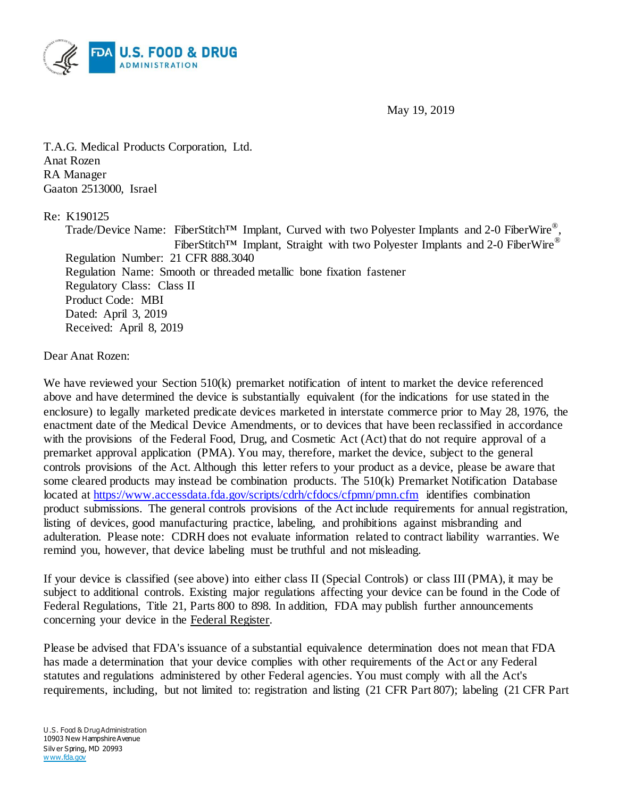

May 19, 2019

T.A.G. Medical Products Corporation, Ltd. Anat Rozen RA Manager Gaaton 2513000, Israel

## Re: K190125

Trade/Device Name: FiberStitch<sup>TM</sup> Implant, Curved with two Polyester Implants and 2-0 FiberWire<sup>®</sup>, FiberStitch™ Implant, Straight with two Polyester Implants and 2-0 FiberWire<sup>®</sup> Regulation Number: 21 CFR 888.3040 Regulation Name: Smooth or threaded metallic bone fixation fastener Regulatory Class: Class II Product Code: MBI Dated: April 3, 2019 Received: April 8, 2019

## Dear Anat Rozen:

We have reviewed your Section 510(k) premarket notification of intent to market the device referenced above and have determined the device is substantially equivalent (for the indications for use stated in the enclosure) to legally marketed predicate devices marketed in interstate commerce prior to May 28, 1976, the enactment date of the Medical Device Amendments, or to devices that have been reclassified in accordance with the provisions of the Federal Food, Drug, and Cosmetic Act (Act) that do not require approval of a premarket approval application (PMA). You may, therefore, market the device, subject to the general controls provisions of the Act. Although this letter refers to your product as a device, please be aware that some cleared products may instead be combination products. The 510(k) Premarket Notification Database located at<https://www.accessdata.fda.gov/scripts/cdrh/cfdocs/cfpmn/pmn.cfm> identifies combination product submissions. The general controls provisions of the Act include requirements for annual registration, listing of devices, good manufacturing practice, labeling, and prohibitions against misbranding and adulteration. Please note: CDRH does not evaluate information related to contract liability warranties. We remind you, however, that device labeling must be truthful and not misleading.

If your device is classified (see above) into either class II (Special Controls) or class III (PMA), it may be subject to additional controls. Existing major regulations affecting your device can be found in the Code of Federal Regulations, Title 21, Parts 800 to 898. In addition, FDA may publish further announcements concerning your device in the Federal Register.

Please be advised that FDA's issuance of a substantial equivalence determination does not mean that FDA has made a determination that your device complies with other requirements of the Act or any Federal statutes and regulations administered by other Federal agencies. You must comply with all the Act's requirements, including, but not limited to: registration and listing (21 CFR Part 807); labeling (21 CFR Part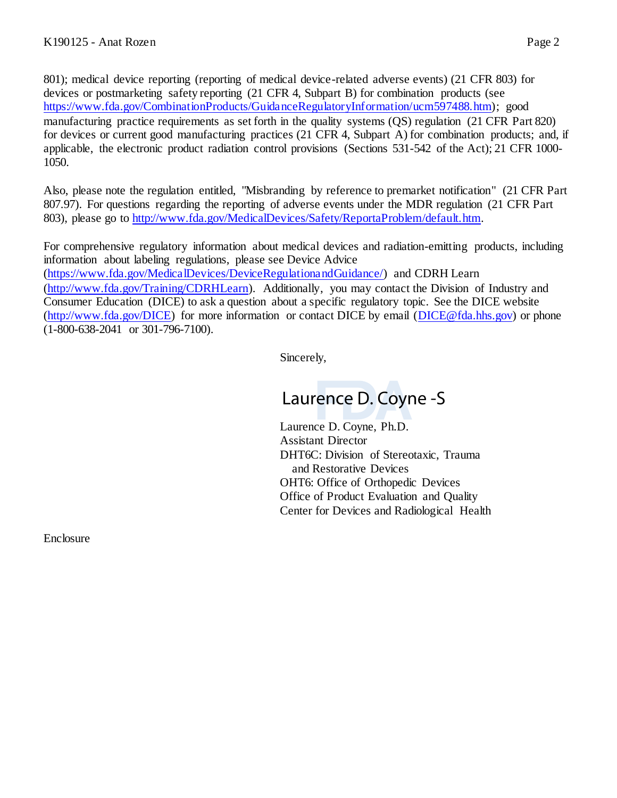801); medical device reporting (reporting of medical device-related adverse events) (21 CFR 803) for devices or postmarketing safety reporting (21 CFR 4, Subpart B) for combination products (see [https://www.fda.gov/CombinationProducts/GuidanceRegulatoryInformation/ucm597488.htm\);](https://www.fda.gov/CombinationProducts/GuidanceRegulatoryInformation/ucm597488.htm) good manufacturing practice requirements as set forth in the quality systems (QS) regulation (21 CFR Part 820) for devices or current good manufacturing practices (21 CFR 4, Subpart A) for combination products; and, if applicable, the electronic product radiation control provisions (Sections 531-542 of the Act); 21 CFR 1000- 1050.

Also, please note the regulation entitled, "Misbranding by reference to premarket notification" (21 CFR Part 807.97). For questions regarding the reporting of adverse events under the MDR regulation (21 CFR Part 803), please go to [http://www.fda.gov/MedicalDevices/Safety/ReportaProblem/default.htm.](http://www.fda.gov/MedicalDevices/Safety/ReportaProblem/default.htm)

For comprehensive regulatory information about medical devices and radiation-emitting products, including information about labeling regulations, please see Device Advice [\(https://www.fda.gov/MedicalDevices/DeviceRegulationandGuidance/\)](https://www.fda.gov/MedicalDevices/DeviceRegulationandGuidance/) and CDRH Learn [\(http://www.fda.gov/Training/CDRHLearn\).](http://www.fda.gov/Training/CDRHLearn) Additionally, you may contact the Division of Industry and Consumer Education (DICE) to ask a question about a specific regulatory topic. See the DICE website [\(http://www.fda.gov/DICE\)](http://www.fda.gov/DICE) for more information or contact DICE by email [\(DICE@fda.hhs.gov\)](mailto:%20DICE@fda.hhs.gov) or phone (1-800-638-2041 or 301-796-7100).

Sincerely,

## Laurence D. Coyne -S

Laurence D. Coyne, Ph.D. Assistant Director DHT6C: Division of Stereotaxic, Trauma and Restorative Devices OHT6: Office of Orthopedic Devices Office of Product Evaluation and Quality Center for Devices and Radiological Health

Enclosure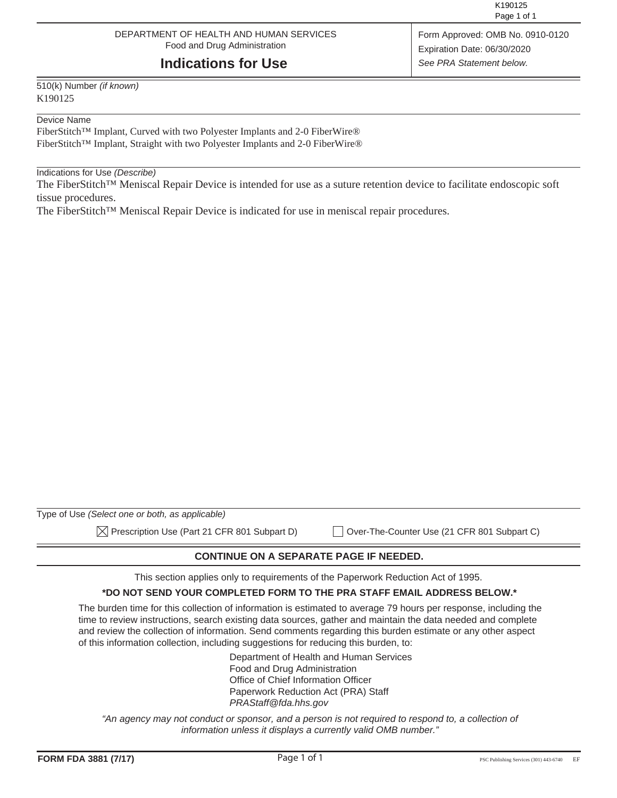### DEPARTMENT OF HEALTH AND HUMAN SERVICES Food and Drug Administration

## **Indications for Use**

510(k) Number *(if known)* K190125

#### Device Name

FiberStitch™ Implant, Curved with two Polyester Implants and 2-0 FiberWire® FiberStitch™ Implant, Straight with two Polyester Implants and 2-0 FiberWire®

#### Indications for Use *(Describe)*

The FiberStitch™ Meniscal Repair Device is intended for use as a suture retention device to facilitate endoscopic soft tissue procedures.

The FiberStitch™ Meniscal Repair Device is indicated for use in meniscal repair procedures.

| Type of Use (Select one or both, as applicable)          |                                             |
|----------------------------------------------------------|---------------------------------------------|
| $\boxtimes$ Prescription Use (Part 21 CFR 801 Subpart D) | Over-The-Counter Use (21 CFR 801 Subpart C) |

**CONTINUE ON A SEPARATE PAGE IF NEEDED.** 

This section applies only to requirements of the Paperwork Reduction Act of 1995.

#### **\*DO NOT SEND YOUR COMPLETED FORM TO THE PRA STAFF EMAIL ADDRESS BELOW.\***

The burden time for this collection of information is estimated to average 79 hours per response, including the time to review instructions, search existing data sources, gather and maintain the data needed and complete and review the collection of information. Send comments regarding this burden estimate or any other aspect of this information collection, including suggestions for reducing this burden, to:

> Department of Health and Human Services Food and Drug Administration Office of Chief Information Officer Paperwork Reduction Act (PRA) Staff *PRAStaff@fda.hhs.gov*

"An agency may not conduct or sponsor, and a person is not required to respond to, a collection of *information unless it displays a currently valid OMB number."*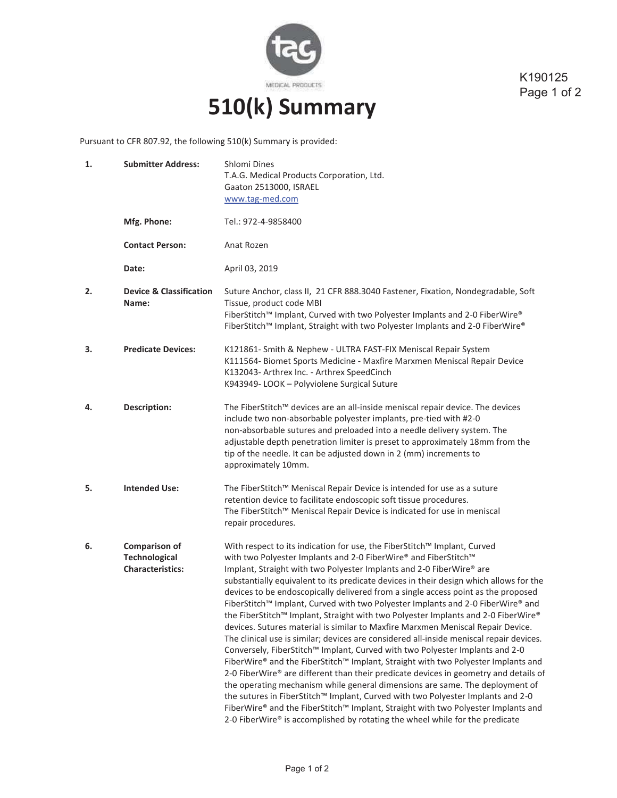

K190125 Page 1 of 2

# **510(k) Summary**

Pursuant to CFR 807.92, the following 510(k) Summary is provided:

| 1. | <b>Submitter Address:</b>                                        | Shlomi Dines<br>T.A.G. Medical Products Corporation, Ltd.<br>Gaaton 2513000, ISRAEL<br>www.tag-med.com                                                                                                                                                                                                                                                                                                                                                                                                                                                                                                                                                                                                                                                                                                                                                                                                                                                                                                                                                                                                                                                                                                                                                                                                                                                        |
|----|------------------------------------------------------------------|---------------------------------------------------------------------------------------------------------------------------------------------------------------------------------------------------------------------------------------------------------------------------------------------------------------------------------------------------------------------------------------------------------------------------------------------------------------------------------------------------------------------------------------------------------------------------------------------------------------------------------------------------------------------------------------------------------------------------------------------------------------------------------------------------------------------------------------------------------------------------------------------------------------------------------------------------------------------------------------------------------------------------------------------------------------------------------------------------------------------------------------------------------------------------------------------------------------------------------------------------------------------------------------------------------------------------------------------------------------|
|    | Mfg. Phone:                                                      | Tel.: 972-4-9858400                                                                                                                                                                                                                                                                                                                                                                                                                                                                                                                                                                                                                                                                                                                                                                                                                                                                                                                                                                                                                                                                                                                                                                                                                                                                                                                                           |
|    | <b>Contact Person:</b>                                           | Anat Rozen                                                                                                                                                                                                                                                                                                                                                                                                                                                                                                                                                                                                                                                                                                                                                                                                                                                                                                                                                                                                                                                                                                                                                                                                                                                                                                                                                    |
|    | Date:                                                            | April 03, 2019                                                                                                                                                                                                                                                                                                                                                                                                                                                                                                                                                                                                                                                                                                                                                                                                                                                                                                                                                                                                                                                                                                                                                                                                                                                                                                                                                |
| 2. | <b>Device &amp; Classification</b><br>Name:                      | Suture Anchor, class II, 21 CFR 888.3040 Fastener, Fixation, Nondegradable, Soft<br>Tissue, product code MBI<br>FiberStitch™ Implant, Curved with two Polyester Implants and 2-0 FiberWire®<br>FiberStitch™ Implant, Straight with two Polyester Implants and 2-0 FiberWire®                                                                                                                                                                                                                                                                                                                                                                                                                                                                                                                                                                                                                                                                                                                                                                                                                                                                                                                                                                                                                                                                                  |
| З. | <b>Predicate Devices:</b>                                        | K121861- Smith & Nephew - ULTRA FAST-FIX Meniscal Repair System<br>K111564- Biomet Sports Medicine - Maxfire Marxmen Meniscal Repair Device<br>K132043- Arthrex Inc. - Arthrex SpeedCinch<br>K943949-LOOK - Polyviolene Surgical Suture                                                                                                                                                                                                                                                                                                                                                                                                                                                                                                                                                                                                                                                                                                                                                                                                                                                                                                                                                                                                                                                                                                                       |
| 4. | <b>Description:</b>                                              | The FiberStitch™ devices are an all-inside meniscal repair device. The devices<br>include two non-absorbable polyester implants, pre-tied with #2-0<br>non-absorbable sutures and preloaded into a needle delivery system. The<br>adjustable depth penetration limiter is preset to approximately 18mm from the<br>tip of the needle. It can be adjusted down in 2 (mm) increments to<br>approximately 10mm.                                                                                                                                                                                                                                                                                                                                                                                                                                                                                                                                                                                                                                                                                                                                                                                                                                                                                                                                                  |
| 5. | <b>Intended Use:</b>                                             | The FiberStitch™ Meniscal Repair Device is intended for use as a suture<br>retention device to facilitate endoscopic soft tissue procedures.<br>The FiberStitch™ Meniscal Repair Device is indicated for use in meniscal<br>repair procedures.                                                                                                                                                                                                                                                                                                                                                                                                                                                                                                                                                                                                                                                                                                                                                                                                                                                                                                                                                                                                                                                                                                                |
| 6. | Comparison of<br><b>Technological</b><br><b>Characteristics:</b> | With respect to its indication for use, the FiberStitch™ Implant, Curved<br>with two Polyester Implants and 2-0 FiberWire® and FiberStitch™<br>Implant, Straight with two Polyester Implants and 2-0 FiberWire® are<br>substantially equivalent to its predicate devices in their design which allows for the<br>devices to be endoscopically delivered from a single access point as the proposed<br>FiberStitch™ Implant, Curved with two Polyester Implants and 2-0 FiberWire® and<br>the FiberStitch™ Implant, Straight with two Polyester Implants and 2-0 FiberWire®<br>devices. Sutures material is similar to Maxfire Marxmen Meniscal Repair Device.<br>The clinical use is similar; devices are considered all-inside meniscal repair devices.<br>Conversely, FiberStitch™ Implant, Curved with two Polyester Implants and 2-0<br>FiberWire® and the FiberStitch™ Implant, Straight with two Polyester Implants and<br>2-0 FiberWire® are different than their predicate devices in geometry and details of<br>the operating mechanism while general dimensions are same. The deployment of<br>the sutures in FiberStitch™ Implant, Curved with two Polyester Implants and 2-0<br>FiberWire® and the FiberStitch™ Implant, Straight with two Polyester Implants and<br>2-0 FiberWire® is accomplished by rotating the wheel while for the predicate |